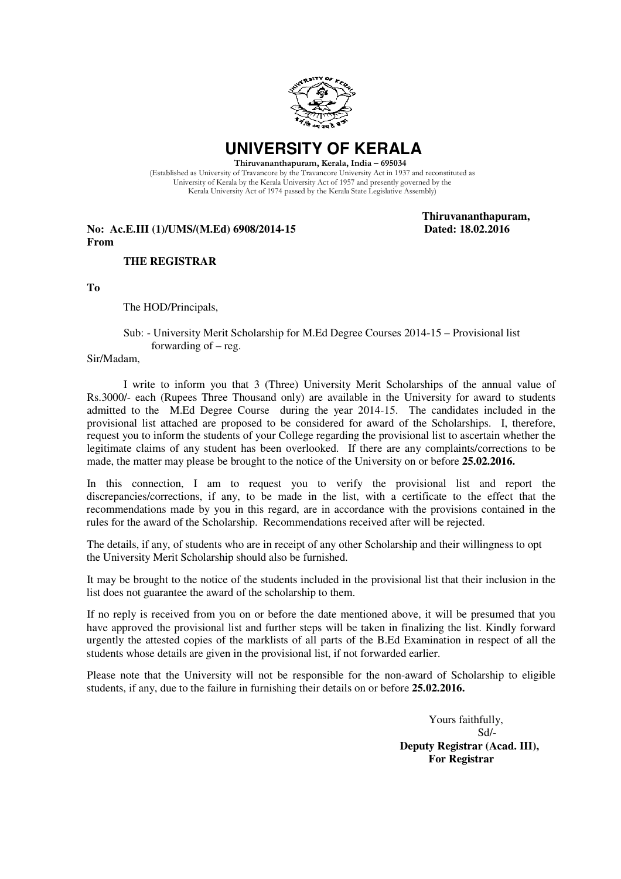

 **UNIVERSITY OF KERALA** 

 Thiruvananthapuram, Kerala, India – 695034 (Established as University of Travancore by the Travancore University Act in 1937 and reconstituted as University of Kerala by the Kerala University Act of 1957 and presently governed by the Kerala University Act of 1974 passed by the Kerala State Legislative Assembly)

**No: Ac.E.III (1)/UMS/(M.Ed) 6908/2014-15 From** 

 **Thiruvananthapuram,** 

## **THE REGISTRAR**

**To** 

The HOD/Principals,

 Sub: - University Merit Scholarship for M.Ed Degree Courses 2014-15 – Provisional list forwarding of – reg.

Sir/Madam,

 I write to inform you that 3 (Three) University Merit Scholarships of the annual value of Rs.3000/- each (Rupees Three Thousand only) are available in the University for award to students admitted to the M.Ed Degree Course during the year 2014-15. The candidates included in the provisional list attached are proposed to be considered for award of the Scholarships. I, therefore, request you to inform the students of your College regarding the provisional list to ascertain whether the legitimate claims of any student has been overlooked. If there are any complaints/corrections to be made, the matter may please be brought to the notice of the University on or before **25.02.2016.**

 In this connection, I am to request you to verify the provisional list and report the discrepancies/corrections, if any, to be made in the list, with a certificate to the effect that the recommendations made by you in this regard, are in accordance with the provisions contained in the rules for the award of the Scholarship. Recommendations received after will be rejected.

 The details, if any, of students who are in receipt of any other Scholarship and their willingness to opt the University Merit Scholarship should also be furnished.

 It may be brought to the notice of the students included in the provisional list that their inclusion in the list does not guarantee the award of the scholarship to them.

 If no reply is received from you on or before the date mentioned above, it will be presumed that you have approved the provisional list and further steps will be taken in finalizing the list. Kindly forward urgently the attested copies of the marklists of all parts of the B.Ed Examination in respect of all the students whose details are given in the provisional list, if not forwarded earlier.

 Please note that the University will not be responsible for the non-award of Scholarship to eligible students, if any, due to the failure in furnishing their details on or before **25.02.2016.** 

> Yours faithfully, Sd/-  **Deputy Registrar (Acad. III), For Registrar**